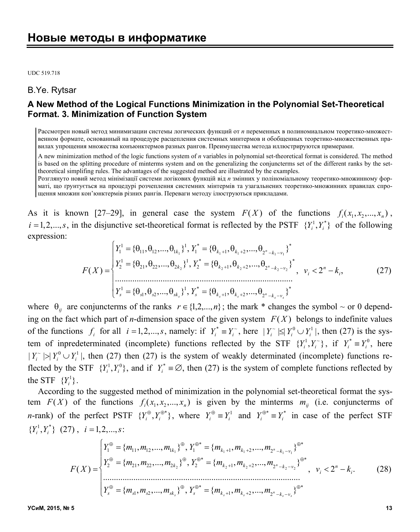UDC 519.718

#### B.Ye. Rytsar

# **A New Method of the Logical Functions Minimization in the Polynomial Set-Theoretical Format. 3. Minimization of Function System**

Рассмотрен новый метод минимизации системы логических функций от *n* переменных в полиномиальном теоретико-множественном формате, основанный на процедуре расцепления системных минтермов и обобщенных теоретико-множественных правилах упрощения множества конъюнктермов разных рангов. Преимущества метода иллюстрируются примерами.

A new minimization method of the logic functions system of *n* variables in polynomial set-theoretical format is considered. The method is based on the splitting procedure of minterms system and on the generalizing the conjuncterms set of the different ranks by the settheoretical simplifing rules. The advantages of the suggested method are illustrated by the examples.

Розглянуто новий метод мінімізації системи логікових функцій від *n* змінних у поліноміальному теоретико-множинному форматі, що ґрунтується на процедурі розчеплення системних мінтермів та узагальнених теоретико-множинних правилах спрощення множин кон'юнктермів різних рангів. Переваги методу ілюструються прикладами.

As it is known [27–29], in general case the system  $F(X)$  of the functions  $f_i(x_1, x_2, ..., x_n)$ ,  $i = 1, 2, \ldots, s$ , in the disjunctive set-theoretical format is reflected by the PSTF  $\{Y_i^1, Y_i^*\}$  of the following expression:

$$
F(X) = \begin{cases} Y_1^1 = \{\theta_{11}, \theta_{12}, ..., \theta_{1k_1}\}^1, Y_1^* = \{\theta_{k_1+1}, \theta_{k_1+2}, ..., \theta_{2^n - k_1 - v_1}\}^* \\ Y_2^1 = \{\theta_{21}, \theta_{22}, ..., \theta_{2k_2}\}^1, Y_2^* = \{\theta_{k_2+1}, \theta_{k_2+2}, ..., \theta_{2^n - k_2 - v_2}\}^* \\ \vdots \\ Y_s^1 = \{\theta_{s1}, \theta_{s2}, ..., \theta_{sk_s}\}^1, Y_s^* = \{\theta_{k_s+1}, \theta_{k_s+2}, ..., \theta_{2^n - k_s - v_s}\}^* \end{cases}, \quad v_i < 2^n - k_i, \tag{27}
$$

where  $\theta_{ij}$  are conjuncterms of the ranks  $r \in \{1,2,...,n\}$ ; the mark \* changes the symbol  $\sim$  or 0 depending on the fact which part of *n*-dimension space of the given system  $F(X)$  belongs to indefinite values of the functions  $f_i$  for all  $i = 1, 2, ..., s$ , namely: if  $Y_i^* \equiv Y_i^*$ , here  $|Y_i^*| \leq |Y_i^0 \cup Y_i^1|$ , then (27) is the system of inpredeterminated (incomplete) functions reflected by the STF  $\{Y_i^1, Y_i^*\}$ , if  $Y_i^* \equiv Y_i^0$ , here  $|Y_i^{\sim}| > |Y_i^0 \cup Y_i^1|$ , then (27) then (27) is the system of weakly determinated (incomplete) functions reflected by the STF  $\{Y_i^1, Y_i^0\}$ , and if  $Y_i^* \equiv \emptyset$ , then (27) is the system of complete functions reflected by the STF  $\{Y_i^1\}$ .

According to the suggested method of minimization in the polynomial set-theoretical format the system  $F(X)$  of the functions  $f_i(x_1, x_2, ..., x_n)$  is given by the minterms  $m_{ij}$  (i.e. conjuncterms of *n*-rank) of the perfect PSTF  $\{Y_i^{\oplus}, Y_i^{\oplus *}\}\$ , where  $Y_i^{\oplus} \equiv Y_i^1$  and  $Y_i^{\oplus *} \equiv Y_i^*$  in case of the perfect STF  ${Y_i^1, Y_i^*} (27), i = 1, 2, ..., s:$ 

$$
F(X) = \begin{cases} Y_1^{\oplus} = \{m_{11}, m_{12}, ..., m_{1k_1}\}^{\oplus}, Y_1^{\oplus*} = \{m_{k_1+1}, m_{k_1+2}, ..., m_{2^n-k_1-\nu_1}\}^{\oplus*} \\ Y_2^{\oplus} = \{m_{21}, m_{22}, ..., m_{2k_2}\}^{\oplus}, Y_2^{\oplus*} = \{m_{k_2+1}, m_{k_2+2}, ..., m_{2^n-k_2-\nu_2}\}^{\oplus*} \\ \vdots \\ Y_s^{\oplus} = \{m_{s1}, m_{s2}, ..., m_{sk_s}\}^{\oplus}, Y_s^{\oplus*} = \{m_{k_s+1}, m_{k_s+2}, ..., m_{2^n-k_s-\nu_s}\}^{\oplus*} \end{cases}, \quad v_i < 2^n - k_i. \tag{28}
$$

**УСиМ, 2015, № 5 13**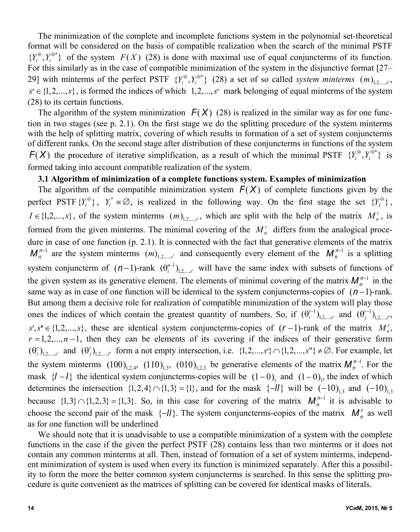The minimization of the complete and incomplete functions system in the polynomial set-theoretical format will be considered on the basis of compatible realization when the search of the minimal PSTF  $\{Y_i^{\oplus}, Y_i^{\oplus *}\}\$  of the system  $F(X)$  (28) is done with maximal use of equal conjuncterms of its function. For this similarly as in the case of compatible minimization of the system in the disjunctive format [27– 29] with minterms of the perfect PSTF  $\{Y_i^{\oplus}, Y_i^{\oplus*}\}\$  (28) a set of so called *system minterms*  $(m)_{1,2,...,s'}$ ,  $s' \in \{1,2,...,s\}$ , is formed the indices of which  $1,2,...,s'$  mark belonging of equal minterms of the system (28) to its certain functions.

The algorithm of the system minimization  $F(X)$  (28) is realized in the similar way as for one function in two stages (see p. 2.1). On the first stage we do the splitting procedure of the system minterms with the help of splitting matrix, covering of which results in formation of a set of system conjuncterms of different ranks. On the second stage after distribution of these conjuncterms in functions of the system *F(X)* the procedure of iterative simplification, as a result of which the minimal PSTF  $\{Y_i^{\oplus}, Y_i^{\oplus *}\}\$  is formed taking into account compatible realization of the system.

## **3.1 Algorithm of minimization of a complete functions system. Examples of minimization**

The algorithm of the compatible minimization system  $F(X)$  of complete functions given by the perfect PSTF  ${Y_i^*}$ ,  ${Y_i^*} \equiv \emptyset$ , is realized in the following way. On the first stage the set  ${Y_i^*}$ ,  $I \in \{1,2,...,s\}$ , of the system minterms  $(m)_{1,2,...,s'}$ , which are split with the help of the matrix  $M_n^r$ , is formed from the given minterms. The minimal covering of the  $M_n^r$  differs from the analogical procedure in case of one function (p. 2.1). It is connected with the fact that generative elements of the matrix  $M_n^{n-1}$  are the system minterms  $(m)_{1,2,...,s'}$  and consequently every element of the  $M_n^{n-1}$  is a splitting system conjuncterm of  $(n-1)$ -rank  $(\theta_i^{n-1})_{1,2,...,s'}$  will have the same index with subsets of functions of the given system as its generative element. The elements of minimal covering of the matrix  $M_n^{n-1}$  in the same way as in case of one function will be identical to the system conjuncterms-copies of  $(n-1)$ -rank. But among them a decisive role for realization of compatible minimization of the system will play those ones the indices of which contain the greatest quantity of numbers. So, if  $(\theta_i^{r-1})_{1,2,...,s'}$  and  $(\theta_j^{r-1})_{1,2,...,s''}$ ,  $s', s'' \in \{1, 2, ..., s\}$ , these are identical system conjuncterms-copies of  $(r-1)$ -rank of the matrix  $M_n^r$ ,  $r = 1, 2, \ldots, n - 1$ , then they can be elements of its covering if the indices of their generative form  $(\theta_i^r)_{1,2,\dots,s'}$  and  $(\theta_j^r)_{1,2,\dots,s''}$  form a not empty intersection, i.e.  $\{1,2,\dots,s'\} \cap \{1,2,\dots,s''\} \neq \emptyset$ . For example, let the system minterms  $(100)_{1,2,4}$ ,  $(110)_{1,3}$ ,  $(010)_{1,2,3}$  be generative elements of the matrix  $M_n^{n-1}$ . For the mask  $\{l - l\}$  the identical system conjuncterms-copies will be  $(1 - 0)$ <sub>1</sub> and  $(1 - 0)$ <sub>1</sub>, the index of which determines the intersection  $\{1,2,4\} \cap \{1,3\} = \{1\}$ , and for the mask  $\{-1\}$  will be  $(-10)_{13}$  and  $(-10)_{13}$ because  $\{1,3\} \cap \{1,2,3\} = \{1,3\}$ . So, in this case for covering of the matrix  $M_n^{n-1}$  it is advisable to choose the second pair of the mask  $\{-1\}$ . The system conjuncterms-copies of the matrix  $M_n^r$  as well as for one function will be underlined

We should note that it is unadvisable to use a compatible minimization of a system with the complete functions in the case if the given the perfect PSTF (28) contains less than two minterms or it does not contain any common minterms at all. Then, instead of formation of a set of system minterms, independent minimization of system is used when every its function is minimized separately. After this a possibility to form the more the better common system conjuncterms is searched. In this sense the splitting procedure is quite convenient as the matrices of splitting can be covered for identical masks of literals.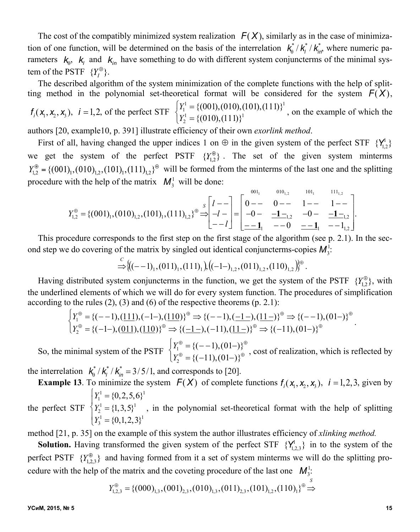The cost of the compatibly minimized system realization  $F(X)$ , similarly as in the case of minimization of one function, will be determined on the basis of the interrelation  $k_0^* / k_l^* / k_{\text{lin}}^*$ , where numeric parameters  $k_0$ ,  $k_i$  and  $k_{in}$  have something to do with different system conjuncterms of the minimal system of the PSTF  $\{Y_t^{\oplus}\}.$ 

The described algorithm of the system minimization of the complete functions with the help of splitting method in the polynomial set-theoretical format will be considered for the system  $F(X)$ ,

$$
f_i(x_1, x_2, x_3)
$$
,  $i = 1, 2$ , of the perfect STF 
$$
\begin{cases} Y_1^1 = \{(001), (010), (101), (111)\}^1 \\ Y_2^1 = \{(010), (111)\}^1 \end{cases}
$$
, on the example of which the

authors [20, example10, p. 391] illustrate efficiency of their own *exorlink method*.

First of all, having changed the upper indices 1 on  $\oplus$  in the given system of the perfect STF  $\{Y_{1,2}^1\}$ we get the system of the perfect PSTF  $\{Y_{1,2}^{\oplus}\}$ . The set of the given system minterms  $Y_{1,2}^{\oplus} = \{(001)_1, (010)_{1,2}, (101)_1, (111)_{1,2}\}^{\oplus}$  will be formed from the minterms of the last one and the splitting procedure with the help of the matrix  $M_3^1$  will be done:

*Y*1,2 {(001)1,(010)1,2 ,(101)1,(111)1,2} *<sup>S</sup> l l l* 0 0 1 1 0 **1**1,2 0 **1**1,2 **1**<sup>1</sup> 0 **1**<sup>1</sup> 11,2 0011 0101, 2 1011 1111, 2 .

This procedure corresponds to the first step on the first stage of the algorithm (see p. 2.1). In the second step we do covering of the matrix by singled out identical conjuncterms-copies  $M_3^1$ :

$$
\stackrel{C}{\Rightarrow} \big\{ \big( (-1)_1, (011)_1, (111)_1 \big), \big( (-1-)_{1,2}, (011)_{1,2}, (110)_{1,2} \big) \big\}^{\oplus}
$$

.

Having distributed system conjuncterms in the function, we get the system of the PSTF  $\{Y_{1,2}^{\oplus}\}\$ , with the underlined elements of which we will do for every system function. The procedures of simplification according to the rules  $(2)$ ,  $(3)$  and  $(6)$  of the respective theorems  $(p. 2.1)$ :

$$
\begin{cases}\nY_1^{\oplus} = \{(-1), (\underline{111}), (-1-), (\underline{110})\}^{\oplus} \Rightarrow \{(-1), (-1-), (\underline{11-})\}^{\oplus} \Rightarrow \{(-1), (01-)\}^{\oplus} \\
Y_2^{\oplus} = \{(-1-), (\underline{011}), (\underline{110})\}^{\oplus} \Rightarrow \{(-1-), (-11), (\underline{11-})\}^{\oplus} \Rightarrow \{(-11), (01-)\}^{\oplus}.\n\end{cases}
$$

So, the minimal system of the PSTF  $Y_1^{\oplus} = \{(-1), (01-\)}^{\oplus}$  $Y_2^{\oplus} = \{(-11), (01-\) \}^{\oplus}$  $\left($  $\begin{cases} Y_1 = (1, 1), (0, 1)Y_2 = {(-1, 1), (0, 1)}^{\oplus} \end{cases}$ , cost of realization, which is reflected by

the interrelation  $k_0^* / k_l^* / k_m^* = 3/5/1$ , and corresponds to [20].

**Example 13**. To minimize the system  $F(X)$  of complete functions  $f_i(x_1, x_2, x_3)$ ,  $i = 1, 2, 3$ , given by  $Y_1^1 = \{0, 2, 5, 6\}^1$  $\left\lceil \right\rceil$  $\begin{cases} 1 \ 1 \end{cases}$ 

the perfect STF  $Y_2^1 = \{1,3,5\}^1$  $Y_3^1 = \{0, 1, 2, 3\}^1$  $\begin{cases} Y_2^1 = \{1, 3, 5\}^1 \\ Y_3^1 = \{0, 1, 2, 3\}^1 \end{cases}$ , in the polynomial set-theoretical format with the help of splitting

method [21, p. 35] on the example of this system the author illustrates efficiency of *xlinking method.*

**Solution.** Having transformed the given system of the perfect STF  $\{Y_{1,2,3}^1\}$  in to the system of the perfect PSTF  ${Y}_{1,2,3}^{\oplus}$  and having formed from it a set of system minterms we will do the splitting procedure with the help of the matrix and the coveting procedure of the last one  $M_3^1$ :

$$
Y_{1,2,3}^{\oplus} = \{ (000)_{1,3}, (001)_{2,3}, (010)_{1,3}, (011)_{2,3}, (101)_{1,2}, (110)_{1} \}^{\oplus} \stackrel{S}{\Rightarrow}
$$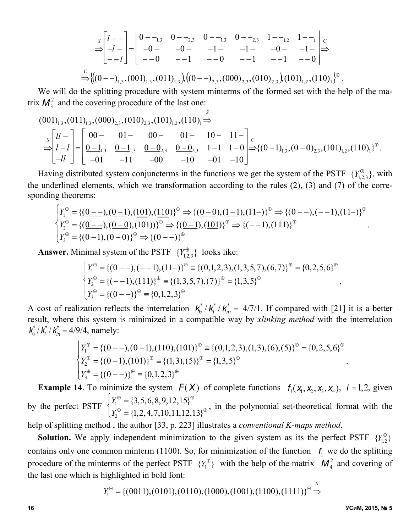$$
\Rightarrow \begin{bmatrix} l & -l \\ -l & -l \end{bmatrix} = \begin{bmatrix} 0 & -l \\ -0 & -l \end{bmatrix} \xrightarrow{0 - l} \begin{array}{cc} 0 & -l \\ -0 & -l \end{array} \xrightarrow{0 - l} \begin{array}{cc} 0 & -l \\ -1 & -l \end{array} \xrightarrow{1 - l} \begin{array}{cc} 1 & -l \\ -0 & -l \end{array} \xrightarrow{1 - l} \begin{array}{cc} l \\ -0 & -l \end{array}
$$
  
\n
$$
\Rightarrow \left\{ \left( (0 - l)_{1,3}, (001)_{1,3}, (011)_{1,3} \right), \left( (0 - l)_{2,3}, (000)_{2,3}, (010)_{2,3} \right), (101)_{1,2}, (110)_{1} \right\}^{\oplus}.
$$

We will do the splitting procedure with system minterms of the formed set with the help of the matrix  $M_3^2$  and the covering procedure of the last one:

$$
(001)_{1,3}, (011)_{1,3}, (000)_{2,3}, (010)_{2,3}, (101)_{1,2}, (110)_{1} \stackrel{s}{\Rightarrow}
$$
  
\n
$$
\Rightarrow \begin{bmatrix} ll - l \\ l - l \end{bmatrix} = \begin{bmatrix} 00 - 01 - 00 - 01 - 11 - 0 \\ \underline{0 - 1}_{1,3} & \underline{0 - 1}_{1,3} & \underline{0 - 0}_{2,3} & \underline{0 - 0}_{2,3} & 1 - 1 & 1 - 0 \\ -l & -1 & -l & -l & -l \end{bmatrix} \Rightarrow \{(0 - 1)_{1,3}, (0 - 0)_{2,3}, (101)_{1,2}, (110)_{1}\}^{\oplus}.
$$

Having distributed system conjuncterms in the functions we get the system of the PSTF  $\{Y_{123}^{\oplus}\}$ , with the underlined elements, which we transformation according to the rules (2), (3) and (7) of the corresponding theorems:

$$
\begin{cases}\nY_1^{\oplus} = \{(\underline{0} - \underline{\phantom{0}}), (\underline{0} - \underline{1}), (\underline{1} \underline{0} \underline{1}), (\underline{1} \underline{1} \underline{0})\}^{\oplus} \Rightarrow \{(\underline{0} - \underline{0}), (\underline{1} - \underline{1}), (11 -)\}^{\oplus} \Rightarrow \{(\underline{0} - \underline{\phantom{0}}), (- - 1), (11 -)\}^{\oplus} \\
Y_2^{\oplus} = \{(\underline{0} - \underline{\phantom{0}}), (\underline{0} - \underline{0}), (101))\}^{\oplus} \Rightarrow \{(\underline{0} - \underline{1}), (\underline{1} \underline{0} \underline{1})\}^{\oplus} \Rightarrow \{(- - 1), (111)\}^{\oplus} \\
Y_3^{\oplus} = \{(\underline{0} - \underline{1}), (\underline{0} - \underline{0})\}^{\oplus} \Rightarrow \{(\underline{0} - \underline{\phantom{0}})\}^{\oplus} \\
\end{cases}.
$$

**Answer.** Minimal system of the PSTF  $\{Y_{123}^{\oplus}\}$  looks like:

$$
\begin{cases}\nY_1^{\oplus} = \{(0 - -), (- - 1), (11 -)\}^{\oplus} \equiv \{(0, 1, 2, 3), (1, 3, 5, 7), (6, 7)\}^{\oplus} = \{0, 2, 5, 6\}^{\oplus} \\
Y_2^{\oplus} = \{(- - 1), (111)\}^{\oplus} \equiv \{(1, 3, 5, 7), (7)\}^{\oplus} = \{1, 3, 5\}^{\oplus}, \\
Y_3^{\oplus} = \{(0 - -)\}^{\oplus} \equiv \{0, 1, 2, 3\}^{\oplus}\n\end{cases}
$$

A cost of realization reflects the interrelation  $k_0^* / k_i^* / k_m^* = 4/7/1$ . If compared with [21] it is a better result, where this system is minimized in a compatible way by *xlinking method* with the interrelation  $k_0^* / k_l^* / k_m^* = 4/9/4$ , namely:

$$
\begin{cases}\nY_1^{\oplus} = \{(0 - -), (0 - 1), (110), (101)\}^{\oplus} \equiv \{(0, 1, 2, 3), (1, 3), (6), (5)\}^{\oplus} = \{0, 2, 5, 6\}^{\oplus} \\
Y_2^{\oplus} = \{(0 - 1), (101)\}^{\oplus} \equiv \{(1, 3), (5)\}^{\oplus} = \{1, 3, 5\}^{\oplus} \\
Y_3^{\oplus} = \{(0 - -)\}^{\oplus} \equiv \{0, 1, 2, 3\}^{\oplus}\n\end{cases}
$$

**Example 14**. To minimize the system  $F(X)$  of complete functions  $f_i(x_1, x_2, x_3, x_4)$ ,  $i = 1, 2$ , given by the perfect PSTF  $Y_1^{\oplus} = \{3,5,6,8,9,12,15\}^{\oplus}$  $Y_2^{\oplus} = \{1, 2, 4, 7, 10, 11, 12, 13\}^{\oplus}$  $\left\lceil \right\rceil$  $\begin{cases} Y_1 = \{3,3,6,6,5,12,13\} \\ Y_2^{\oplus} = \{1,2,4,7,10,11,12,13\} \end{cases}$ , in the polynomial set-theoretical format with the

help of splitting method , the author [33, p. 223] illustrates a *conventional K*-*maps method*.

**Solution.** We apply independent minimization to the given system as its the perfect PSTF  ${Y}_{1,2}^{\oplus}$ contains only one common minterm (1100). So, for minimization of the function  $f_1$  we do the splitting procedure of the minterms of the perfect PSTF  ${Y_1^{\oplus}}$  with the help of the matrix  $M_4^2$  and covering of the last one which is highlighted in bold font: *S*

$$
Y_1^{\oplus} = \{ (0011), (0101), (0110), (1000), (1001), (1100), (1111) \}^{\oplus} \Rightarrow
$$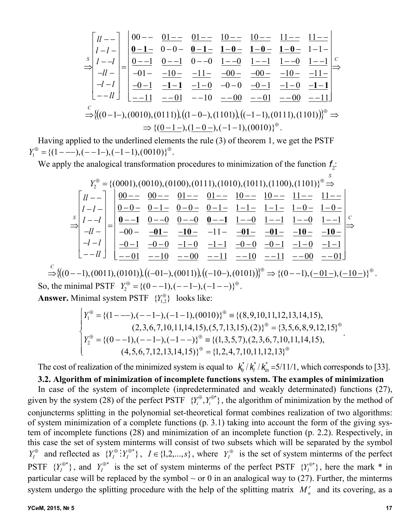*S ll l l l l ll l l ll* 00 01 01 10 10 11 11 **0 1** 0 0 **0 1 1 0 10 10** 11 0 1 0 1 0 0 1 0 1 1 1 0 1 1 01 10 11 00 00 10 11 0 1 **11** 1 0 0 0 0 1 10 **11** 11 01 10 00 01 00 11 *C* (0 1 ),(0010),(0111) , (1 0 ),(1101) , ( 1 1),(0111),(1101) *C* {(0 1),(1 0 ),(11),(0010)} .

Having applied to the underlined elements the rule (3) of theorem 1, we get the PSTF  $Y_1^{\oplus} = \{(1 - -1), (-1 - 1), (-1 - 1), (0010)\}^{\oplus}.$ 

We apply the analogical transformation procedures to minimization of the function  $f_2$ :

 *Y*2 {(0001),(0010),(0100),(0111),(1010),(1011),(1100),(1101)} *S S ll l l l l ll l l ll* 00 00 01 01 10 10 11 11 0 0 0 1 0 0 0 1 11 11 10 10 **0 1** 0 0 0 0 **0 1** 1 0 1 1 1 0 1 1 00 **01 10** 11 **01 01 10 10** 0 1 0 0 1 0 11 0 0 0 1 10 11 01 10 00 11 10 11 00 01 *C* (0 1),(0011),(0101) , (01),(0011) , (10),(0101) {(0 1),( 01),(10 )} *C*

So, the minimal PSTF  $Y_2^{\oplus} = \{(0 - 1), (-1 - 1), (-1 - 1)^{\oplus}$ .

**Answer.** Minimal system PSTF  ${Y}_{1,2}^{\oplus}$  looks like:

$$
\begin{cases}\nY_1^{\oplus} = \{ (1 - -1), (-1 - 1), (-1 - 1), (0010) \}^{\oplus} \equiv \{ (8, 9, 10, 11, 12, 13, 14, 15), \\
(2, 3, 6, 7, 10, 11, 14, 15), (5, 7, 13, 15), (2) \}^{\oplus} = \{3, 5, 6, 8, 9, 12, 15 \}^{\oplus} \\
Y_2^{\oplus} = \{ (0 - -1), (-1 - 1), (-1 - -) \}^{\oplus} \equiv \{ (1, 3, 5, 7), (2, 3, 6, 7, 10, 11, 14, 15), \\
(4, 5, 6, 7, 12, 13, 14, 15) \}^{\oplus} = \{ 1, 2, 4, 7, 10, 11, 12, 13 \}^{\oplus}\n\end{cases}
$$

The cost of realization of the minimized system is equal to  $k_0^*/k_i^*/k_m^* = 5/11/1$ , which corresponds to [33].

## **3.2. Algorithm of minimization of incomplete functions system. The examples of minimization**

In case of the system of incomplete (inpredeterminated and weakly determinated) functions (27), given by the system (28) of the perfect PSTF  $\{Y_i^{\oplus}, Y_i^{\oplus*}\}$ , the algorithm of minimization by the method of conjuncterms splitting in the polynomial set-theoretical format combines realization of two algorithms: of system minimization of a complete functions (p. 3.1) taking into account the form of the giving system of incomplete functions (28) and minimization of an incomplete function (p. 2.2). Respectively, in this case the set of system minterms will consist of two subsets which will be separated by the symbol  $Y_I^{\oplus}$  and reflected as  $\{Y_I^{\oplus} : Y_I^{\oplus*}\}$ ,  $I \in \{1,2,...,s\}$ , where  $Y_I^{\oplus}$  is the set of system minterms of the perfect PSTF  ${Y_I^{\oplus *}}$ , and  $Y_I^{\oplus *}$  is the set of system minterms of the perfect PSTF  ${Y_I^{\oplus *}}$ , here the mark \* in particular case will be replaced by the symbol  $\sim$  or 0 in an analogical way to (27). Further, the minterms system undergo the splitting procedure with the help of the splitting matrix  $M_n^r$  and its covering, as a

.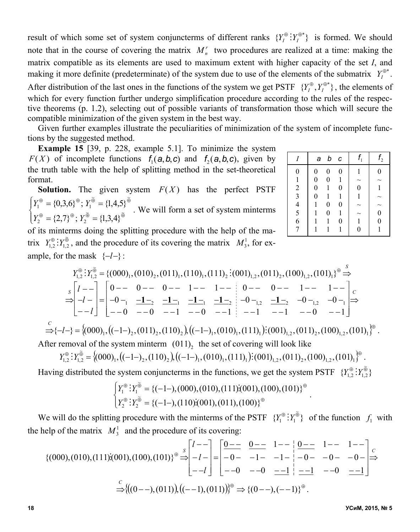result of which some set of system conjuncterms of different ranks  ${Y_I^{\oplus}}: Y_I^{\oplus*}$  is formed. We should note that in the course of covering the matrix  $M_n^r$  two procedures are realized at a time: making the matrix compatible as its elements are used to maximum extent with higher capacity of the set *I*, and making it more definite (predeterminate) of the system due to use of the elements of the submatrix  $Y_I^{\oplus*}$ . After distribution of the last ones in the functions of the system we get PSTF  $\{Y_l^{\oplus}, Y_l^{\oplus*}\}\,$ , the elements of which for every function further undergo simplification procedure according to the rules of the respective theorems (p. 1.2), selecting out of possible variants of transformation those which will secure the compatible minimization of the given system in the best way.

Given further examples illustrate the peculiarities of minimization of the system of incomplete functions by the suggested method.

**Example 15** [39, p. 228, example 5.1]. To minimize the system *F*(*X*) of incomplete functions  $f_1$ (*a*,*b*,*c*) and  $f_2$ (*a*,*b*,*c*), given by the truth table with the help of splitting method in the set-theoretical format.

**Solution.** The given system  $F(X)$  has the perfect PSTF  $\overline{\mathcal{L}}$  $\mathbf{I}$ ⇃  $\left($  $=\{2,7\}^{\oplus}$ ;  $Y_2^{\oplus}$  =  $= \{0,3,6\}^{\oplus}$ ;  $Y_1^{\oplus} =$  $\mathcal{F} = (2, 7) \mathcal{F}$ .  $V \mathcal{\tilde{F}} = (1, 2, 4) \mathcal{\tilde{F}}$  $\mathcal{F} = (0, 2, \mathcal{L}) \mathcal{F}$ .  $V^{\widetilde{\oplus}} = (1, 4, \mathcal{L})^{\widetilde{\oplus}}$  $\approx$   $\approx$   $\approx$   $\approx$   $\approx$  $2 - \sqrt{2}, 7, 7, 12$  $\approx$   $\approx$   $\approx$  $1 - \nu, 0, 0, 0, 1$  ${2,7}^{\oplus}$ ;  $Y_2^{\oplus} = {1,3,4}$  ${0,3,6}^{\oplus}$ ;  $Y_1^{\oplus} = {1,4,5}$  $Y_2^{\oplus} = \{2,7\}^{\oplus}$ ; *Y*  $Y_1^{\oplus} = \{0,3,6\}^{\oplus}$ ; *Y* . We will form a set of system minterms

|                                            | а                | b                | $\epsilon$       |                  | f <sub>2</sub> |
|--------------------------------------------|------------------|------------------|------------------|------------------|----------------|
| $\overline{0}$                             | 0                | $\overline{0}$   | 0                | 1                | 0              |
| 1                                          | $\boldsymbol{0}$ | $\boldsymbol{0}$ |                  | $\sim$           |                |
| $\overline{\mathbf{c}}$                    | $\boldsymbol{0}$ | 1                | $\boldsymbol{0}$ | $\boldsymbol{0}$ | 1              |
| $\overline{\mathbf{3}}$                    | $\boldsymbol{0}$ |                  | 1                | 1                |                |
|                                            | 1                | $\boldsymbol{0}$ | $\overline{0}$   |                  |                |
| $\begin{array}{c} 4 \\ 5 \\ 6 \end{array}$ |                  | $\boldsymbol{0}$ |                  |                  | $\overline{0}$ |
|                                            |                  | 1                | $\boldsymbol{0}$ | 1                | $\overline{0}$ |
|                                            |                  |                  |                  | $\overline{0}$   |                |

of its minterms doing the splitting procedure with the help of the matrix  $Y_{1,2}^{\oplus}$ :  $Y_{1,2}^{\oplus}$ , and the procedure of its covering the matrix  $M_3^1$ , for example, for the mask  $\{-l-\}$ :

*S Y Y* {(000)1,(010)2 ,(011)1,(110)1,(111)2 (001)1,2 ,(011)2 ,(100)1,2 ,(101)1} <sup>~</sup> 1,2 1,2 *<sup>S</sup> l l l* 0 0 0 1 1 0 0 1 1 0 <sup>1</sup> **1**<sup>2</sup> **1**<sup>1</sup> **1**<sup>1</sup> **1**<sup>2</sup> 0 1,2 **1**<sup>2</sup> 0 1,2 0 <sup>1</sup> 0 0 1 0 1 1 1 0 1 *C* <sup>1</sup> <sup>2</sup> <sup>2</sup> <sup>2</sup> <sup>1</sup> <sup>1</sup> <sup>1</sup> 1,2 <sup>2</sup> 1,2 <sup>1</sup> { *l* } (000) , ( 1 ) ,(011) ,(110) , ( 1 ) ,(010) ,(111) (001) ,(011) ,(100) ,(101) *C*

After removal of the system minterm  $(011)_2$  the set of covering will look like

$$
Y_{1,2}^{\oplus} : Y_{1,2}^{\widetilde{\oplus}} = \left\{ (000)_1, \left( (-1-)_2, (110)_2 \right), \left( (-1-)_1, (010)_1, (111)_1 \right) \vdots (001)_{1,2}, (011)_2, (100)_{1,2}, (101)_1 \right\}^{\oplus}.
$$

Having distributed the system conjuncterms in the functions, we get the system PSTF  $\{Y_{1,2}^{\oplus} : Y_{1,2}^{\oplus}\}$ 

$$
\begin{cases}\nY_1^{\oplus} : Y_1^{\widetilde{\oplus}} = \{(-1-),(000),(010),(111):(001),(100),(101)\}^{\oplus} \\
Y_2^{\oplus} : Y_2^{\widetilde{\oplus}} = \{(-1-),(110):(001),(011),(100)\}^{\oplus} \n\end{cases}.
$$

We will do the splitting procedure with the minterms of the PSTF  ${Y_1^{\oplus} : Y_1^{\oplus} }$  $Y_1^{\oplus}$  :  $Y_1^{\oplus}$  of the function  $f_1$  with the help of the matrix  $M_3^1$  and the procedure of its covering:

$$
\{(000), (010), (111); (001), (100), (101)\}^{\oplus} \stackrel{s}{\Rightarrow} \begin{bmatrix} l & -l \\ -l & -l \end{bmatrix} = \begin{bmatrix} \underline{0} & \underline{0} & \underline{0} & \underline{1} & -l \\ -0 & -1 & -1 & -l \\ -0 & -0 & \underline{-1} & -1 \end{bmatrix} \stackrel{0}{\Rightarrow} \begin{bmatrix} 1 & -l & 1 & -l \\ -0 & -0 & -0 & -l \\ -0 & -0 & \underline{-1} & -1 \end{bmatrix} \stackrel{c}{\Rightarrow}
$$

$$
\stackrel{C}{\Rightarrow} \{((0 - -), (011)), ((-1), (011))\}^{\oplus} \Rightarrow \{(0 - -), (-1)\}^{\oplus}.
$$

.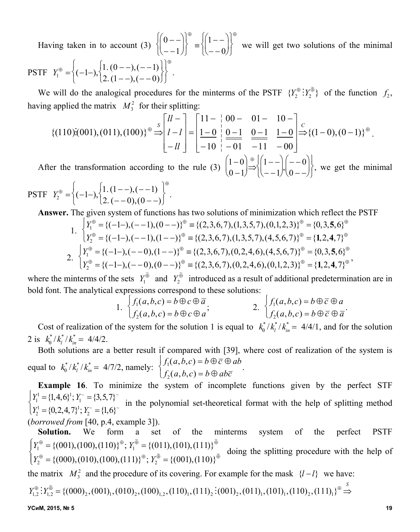Having taken in to account (3)  $0 - -1$  $\left\{\begin{pmatrix} 0 & - \\ - & -1 \end{pmatrix}\right\}^{\oplus} \equiv \left\{\begin{pmatrix} 1 & - \\ - & 0 \end{pmatrix}\right\}$  $- - 0$  $\left\{\begin{pmatrix} 1 & - & 0 \\ - & - & 0 \end{pmatrix}\right\}^{\oplus}$  we will get two solutions of the minimal **PSTF**  $Y_1^{\oplus} = \left\{ (-1-) \right\} \begin{matrix} 1 & (0--), (-1) \\ 2 & (1--), (-0) \end{matrix}$  $\left\{(-1-),\begin{cases}1.\ (0-),(-1)\\2.\ (1-),(-0)\end{cases}\right\}$ .

We will do the analogical procedures for the minterms of the PSTF  $\{Y_2^{\oplus} : Y_2^{\oplus}\}$  of the function  $f_2$ , having applied the matrix  $M_3^2$  for their splitting:

$$
\{(110)(001),(011),(100)\}^{\oplus} \stackrel{s}{\Rightarrow} \begin{bmatrix} ll - \\ l - l \end{bmatrix} = \begin{bmatrix} 11 - & 00 - & 01 - & 10 - \\ 1 - 0 & 0 - 1 & \frac{0 - 1}{-11} & \frac{1 - 0}{-10} \end{bmatrix} \stackrel{C}{\Rightarrow} \{(1 - 0), (0 - 1)\}^{\oplus}.
$$

After the transformation according to the rule (3)  $\begin{bmatrix} 1 & -0 \\ 0 & 1 \end{bmatrix}$  $(0 - 1)$  $\begin{pmatrix} 1-0 \\ 0-1 \end{pmatrix}$   $\Rightarrow$  $\binom{+}{1}$  | 1 - - $-1$  $\begin{pmatrix} 1 & -1 \\ - & -1 \end{pmatrix}, \begin{pmatrix} - & 0 \\ 0 & - \end{pmatrix}$  $\begin{pmatrix} -0 \\ 0 & - \end{pmatrix}$  $\left\lceil \right\rceil$  $\bigg\{\bigg\}$  $\mathbf{I}$  $\left\}$ , we get the minimal

PSTF 
$$
Y_2^{\oplus} = \left\{ (-1-) , \begin{cases} 1, (1-)-), (-1) \\ 2, (-0), (0-)- \end{cases} \right\}^{\oplus}.
$$

**Answer.** The given system of functions has two solutions of minimization which reflect the PSTF

1. 
$$
\begin{cases} Y_1^{\oplus} = \{(-1-), (-1), (0-1)\}^{\oplus} \equiv \{(2,3,6,7), (1,3,5,7), (0,1,2,3)\}^{\oplus} = \{0,3,5,6\}^{\oplus} \\ Y_2^{\oplus} = \{(-1-), (-1), (1-1)\}^{\oplus} \equiv \{(2,3,6,7), (1,3,5,7), (4,5,6,7)\}^{\oplus} = \{1,2,4,7\}^{\oplus} \\ 2. \quad \begin{cases} Y_1^{\oplus} = \{(-1-), (-0), (1-1)\}^{\oplus} \equiv \{(2,3,6,7), (0,2,4,6), (4,5,6,7)\}^{\oplus} = \{0,3,5,6\}^{\oplus} \\ Y_2^{\oplus} = \{(-1-), (-0), (0-1)\}^{\oplus} \equiv \{(2,3,6,7), (0,2,4,6), (0,1,2,3)\}^{\oplus} = \{1,2,4,7\}^{\oplus} \end{cases}
$$

where the minterms of the sets  $Y_1^{\tilde{\oplus}}$  and  $Y_2^{\tilde{\oplus}}$  introduced as a result of additional predetermination are in bold font. The analytical expressions correspond to these solutions:

1. 
$$
\begin{cases} f_1(a,b,c) = b \oplus c \oplus \overline{a} \\ f_2(a,b,c) = b \oplus c \oplus a \end{cases}
$$
2. 
$$
\begin{cases} f_1(a,b,c) = b \oplus \overline{c} \oplus a \\ f_2(a,b,c) = b \oplus \overline{c} \oplus \overline{a} \end{cases}
$$

Cost of realization of the system for the solution 1 is equal to  $k_0^*/k_i^*/k_m^* = 4/4/1$ , and for the solution 2 is  $k_0^* / k_l^* / k_m^* = 4/4/2$ .

Both solutions are a better result if compared with [39], where cost of realization of the system is equal to  $k_0^* / k_l^* / k_m^* = 4/7/2$ , namely:  $f_1(a, b, c) = b \oplus \overline{c} \oplus ab$  $f_2(a, b, c) = b \oplus ab\overline{c}$  $\left\lceil \right\rceil$  $\int_{f_2(a,b,c)=b}^{f_1(a,b,c)=b\oplus c\infty} d\sigma$ 

**Example 16**. To minimize the system of incomplete functions given by the perfect STF  $Y_1^1 = \{1,4,6\}^1$ ;  $Y_1^{\sim} = \{3,5,7\}^{\sim}$  $Y_2^1 = \{0, 2, 4, 7\}^1$ ;  $Y_2^{\sim} = \{1, 6\}^{\sim}$  $\left\lceil \right\rceil$  $\begin{bmatrix} Y_1 = \{1, 1, 0\} \ Y_2 = \{0, 2, 4, 7\}^1; Y_2 = \{1, 6\}^T \end{bmatrix}$  in the polynomial set-theoretical format with the help of splitting method

(*borrowed from* [40, p.4, example 3]).

**Solution.** We form a set of the minterms system of the perfect PSTF  $\overline{\mathcal{L}}$  $\mathbf{I}$ ⇃  $\left($  $=\{(000),(010),(100),(111)\}^{\oplus};Y_{2}^{\oplus}$  $=\{(001),(100),(110)\}^{\oplus}; Y_1^{\oplus} =$  $\mathcal{L}$  = ((000) (010) (100) (111)) $\mathcal{L}$ ,  $V^{\oplus}$  = ((001) (110)) $\mathcal{L}$  $\mathcal{F} = (1001)(100)(110)$  $\mathcal{F}$ .  $V \mathcal{F} = (1011)(101)(111)$  $\mathcal{F}$  $\approx$   $\approx$   $\approx$   $\approx$   $\approx$  $_2$  -  $(000, 010, 100, 111)$ ,  $_2$ ~ ~  $_1$  - ((001), (100), (110)  $_1$ ,  $I_1$  $\{(000), (010), (100), (111)\}^{\oplus}$ ;  $Y_2^{\oplus} = \{(001), (110)\}^{\oplus}$  $\{(001),(100),(110)\}^{\oplus}$ ;  $Y_1^{\oplus} = \{(011),(101),(111)\}^{\oplus}$  $Y_2^{\oplus} = \{(000), (010), (100), (111)\}^{\oplus}$ ; *Y*  $Y_1^{\oplus} = \{(001), (100), (110)\}^{\oplus}$ ;  $Y_1^{\oplus} = \{(011), (101), (111)\}^{\oplus}$  doing the splitting procedure with the help of

the matrix  $M_3^2$  and the procedure of its covering. For example for the mask  $\{l-l\}$  we have:

$$
Y_{1,2}^{\oplus} : Y_{1,2}^{\oplus} = \{ (000)_2, (001)_1, (010)_2, (100)_{1,2}, (110)_1, (111)_2 \, \vdots \, (001)_2, (011)_1, (101)_1, (110)_2, (111)_1 \}^{\oplus} \stackrel{S}{\Rightarrow}
$$

**УСиМ, 2015, № 5 19**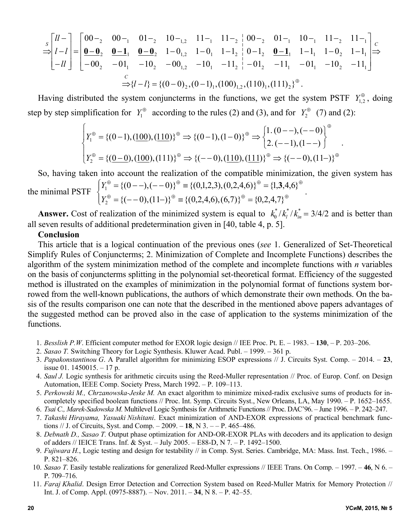$$
\begin{bmatrix} l & l \\ l & l \end{bmatrix} = \begin{bmatrix} 00 -_2 & 00 -_1 & 01 -_2 & 10 -_{1,2} & 11 -_1 & 11 -_2 & 00 -_2 & 01 -_1 & 10 -_1 & 11 -_2 & 11 -_1 \\ \frac{\mathbf{0} - \mathbf{0}}{2} & \frac{\mathbf{0} - \mathbf{1}}{2} & \frac{\mathbf{0} - \mathbf{0}}{2} & 1 - 0_{1,2} & 1 - 0_1 & 1 - 1_2 & 0 - 1_2 & \frac{\mathbf{0} - \mathbf{1}}{2} & 1 - 1_1 & 1 - 0_2 & 1 - 1_1 \\ -ll & -00_2 & -01_1 & -10_2 & -00_{1,2} & -10_1 & -11_2 & -01_2 & -11_1 & -01_1 & -10_2 & -11_1 \end{bmatrix} \Rightarrow \Rightarrow \{l - l\} = \{(0 - 0)_2, (0 - 1)_1, (100)_{1,2}, (110)_1, (111)_2\}^{\oplus}.
$$

Having distributed the system conjuncterms in the functions, we get the system PSTF  $Y_{1,2}^{\oplus}$ , doing step by step simplification for  $Y_1^{\oplus}$  according to the rules (2) and (3), and for  $Y_2^{\oplus}$  (7) and (2):

$$
\begin{cases}\nY_1^{\oplus} = \{(0-1), (\underline{100}), (\underline{110})\}^{\oplus} \Rightarrow \{(0-1), (1-0)\}^{\oplus} \Rightarrow \begin{cases}\n1. (0-1), (-0) \\
2. (-1), (1-1)\n\end{cases}^{\oplus} \\
Y_2^{\oplus} = \{(\underline{0-0}), (\underline{100}), (111)\}^{\oplus} \Rightarrow \{(-0), (\underline{110}), (\underline{111})\}^{\oplus} \Rightarrow \{(-0), (11-)\}^{\oplus}\n\end{cases}
$$

So, having taken into account the realization of the compatible minimization, the given system has the minimal PSTF  $\left\{\right.$ ┤  $\left($  $=\{(-0),(11-)\}^{\oplus}\equiv \{(0,2,4,6),(6,7)\}^{\oplus}$  $=\{(0--),(--0)\}^{\oplus} \equiv \{(0,1,2,3),(0,2,4,6)\}^{\oplus} =$  $\theta = (A \cap (11)) \theta = (A \cap (A \cap (B))) \theta = (A \cap (A \cap (B)))$  $\theta = ((0 \rightarrow (0 \cdot 0)) \theta = ((0.12.3) (0.2.4 \epsilon)) \theta = (1.3.4 \epsilon) \theta$  ${(--0),(11-)}^{\oplus} \equiv {(0,2,4,6),(6,7)}^{\oplus} = {0,2,4,7}$  $\{(0 - -), (- - 0)\}^{\oplus} \equiv \{(0,1,2,3), (0,2,4,6)\}^{\oplus} = \{(1,3,4,6)\}^{\oplus}$ 1 *Y*  $Y_1^{\oplus} = \{(0 - 1), (-10)\}^{\oplus} \equiv \{(0,1,2,3), (0,2,4,6)\}^{\oplus} = \{1,3,4,6\}^{\oplus}$ 

**Answer.** Cost of realization of the minimized system is equal to  $k_0^*/k_i^*/k_m^* = 3/4/2$  and is better than all seven results of additional predetermination given in [40, table 4, p. 5].

#### **Conclusion**

2

This article that is a logical continuation of the previous ones (*see* 1. Generalized of Set-Theoretical Simplify Rules of Conjuncterms; 2. Minimization of Complete and Incomplete Functions) describes the algorithm of the system minimization method of the complete and incomplete functions with *n* variables on the basis of conjuncterms splitting in the polynomial set-theoretical format. Efficiency of the suggested method is illustrated on the examples of minimization in the polynomial format of functions system borrowed from the well-known publications, the authors of which demonstrate their own methods. On the basis of the results comparison one can note that the described in the mentioned above papers advantages of the suggested method can be proved also in the case of application to the systems minimization of the functions.

- 1. *Besslish P.W*. Efficient computer method for EXOR logic design // IEE Proc. Pt. E. 1983. **130**, P. 203–206.
- 2. *Sasao T.* Switching Theory for Logic Synthesis. Kluwer Acad. Publ. *–* 1999. *–* 361 p.
- 3. *Papakonstantinou G*. A Parallel algorithm for minimizing ESOP expressions // J. Circuits Syst. Comp. 2014. **23**, issue 01. 1450015. – 17 p.
- 4. *Saul J.* Logic synthesis for arithmetic circuits using the Reed-Muller representation // Proc. of Europ. Conf. on Design Automation, IEEE Comp. Society Press, March 1992. – P. 109–113.
- 5. *Perkowski M., Chrzanowska-Jeske M.* An exact algorithm to minimize mixed-radix exclusive sums of products for incompletely specified boolean functions // Proc. Int. Symp. Circuits Syst., New Orleans, LA, May 1990. – P. 1652–1655.
- 6. *Tsai C., Marek-Sadowska M.* Multilevel Logic Synthesis for Arithmetic Functions // Proc. DAC'96. June 1996. P. 242–247.
- 7. *Takashi Hirayama, Yasuaki Nishitani*. Exact minimization of AND-EXOR expressions of practical benchmark functions // J. of Circuits, Syst. and Comp. – 2009. – **18**, N 3. – – P. 465–486.
- 8. *Debnath D., Sasao T.* Output phase optimization for AND-OR-EXOR PLAs with decoders and its application to design of adders // IEICE Trans. Inf. & Syst. – July 2005. – E88-D, N 7. – P. 1492–1500.
- 9. *Fujiwara H.*, Logic testing and design for testability // in Comp. Syst. Series. Cambridge, MA: Mass. Inst. Tech., 1986. P. 821–826.
- 10. *Sasao T*. Easily testable realizations for generalized Reed-Muller expressions // IEEE Trans. On Comp. 1997. **46**, N 6. P. 709–716.
- 11. *Faraj Khalid*. Design Error Detection and Correction System based on Reed-Muller Matrix for Memory Protection // Int. J. of Comp. Appl. (0975-8887). – Nov. 2011. – **34**, N 8. – P. 42–55.